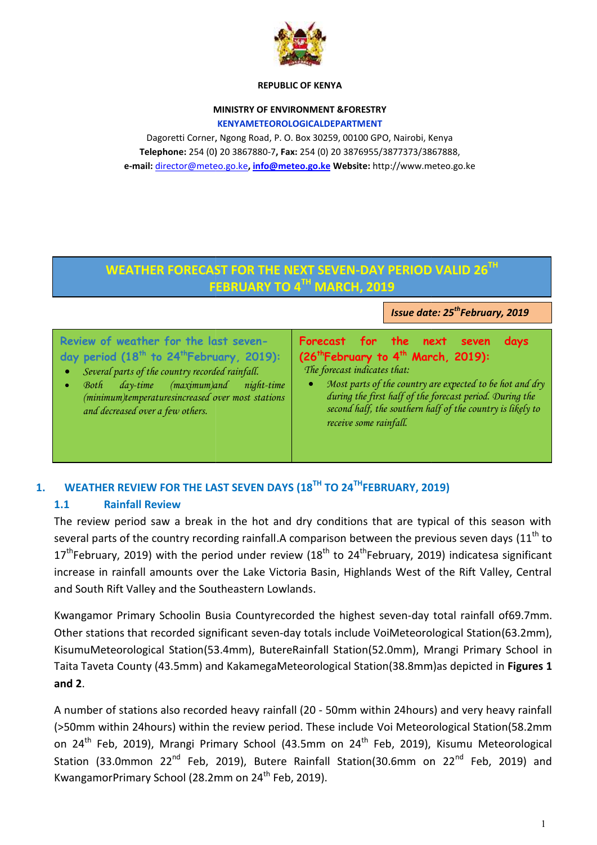

#### **REPUBLIC OF KENYA**

## **MINISTRY OF ENVIRONMENT &FORESTRY**

**KENYAMETEOROLOGICALDEPARTMENT**

Dagoretti Corner, Ngong Road, P. O. Box 30259, 00100 GPO, Nairobi, Kenya **Telephone:** 254 (0) 20 3867880-7**, Fax:** 254 (0) 20 3876955/3877373/3867888, **e-mail:** director@meteo.go.ke**, info@meteo.go.ke Website:** http://www.meteo.go.ke

# **WEATHER FORECAST FOR THE NEXT SEVEN-DAY PERIOD VALID 26TH WEATHER**   $FEBRUARY TO 4<sup>TH</sup> MARCH, 2019$

*lssue date: 25<sup>th</sup>February, 2019* 

**Review of weather for the last sevenday period (18th to 24thFebruary, 2019):**

- *Several parts of the country recorded rainfall.*
- *Both day-time (maximum)and night-time (minimum)temperaturesincreased over most stations and decreased over a few others.*

**Forecast for the next seven days (26<sup>th</sup>February to 4<sup>th</sup> March, 2019):** *The forecast indicates that:* **of the researce 1 and 1 and 1 and 1 and 1 and 1 and 1 and 1 and 1 and 1 and 1 and 1 and 1 and 1 and 1 and 1 and 1 and 1 and 1 and 1 and 1 and 1 and 1 and 1 and 1 and 1 and 1 and 1 and 1 and 1 and 1 and 1 and 1 and 1 and 1** 

 *Most parts of the country are expected to be hot and dry during the first half of the forecast period. During the second half, the southern half of the country is likely to receive some rainfall. composing the country are expected to be hot and dry*<br>*first half of the forecast period. During the*<br>*f, the southern half of the country is likely to*<br>*ie rainfall.* 

# **1. WEATHER REVIEW FOR THE LAST SEVEN DAYS (18<sup>TH</sup> TO 24<sup>TH</sup>FEBRUARY, 2019)**<br>1.1 Rainfall Review

### **1.1 Rainfall Review**

The review period saw a break in the hot and dry conditions that are typical of this season with The review period saw a break in the hot and dry conditions that are typical of this season with<br>several parts of the country recording rainfall.A comparison between the previous seven days (11<sup>th</sup> to 17<sup>th</sup>February, 2019) with the period under review (18<sup>th</sup> to 24<sup>th</sup>February, 2019) indicatesa significant increase in rainfall amounts over the Lake Victoria Basin, Highlands West of the Rift Valley, Central and South Rift Valley and the Southeastern Lowlands.

Kwangamor Primary Schoolin Busia Countyrecorded the highest seven-day total rainfall of69.7mm. Other stations that recorded significant seven-day totals include VoiMeteorological Station(63.2mm), KisumuMeteorological Station(53.4mm), ButereRainfall Station(52.0mm), Mrangi Primary School in Taita Taveta County (43.5mm) and KakamegaMeteorological Station(38.8mm)as depicted in **Figures 1 and 2**.  $17^{\text{th}}$ February, 2019) with the period under review ( $18^{\text{th}}$  to  $24^{\text{th}}$ February, 2019) indica<br>increase in rainfall amounts over the Lake Victoria Basin, Highlands West of the Rift<br>and South Rift Valley and the So Newtor To Evan Monder Control Control Control Control Control Control Control Control Control Control Control Control Control Control Control Control Control Control Control Control Control Control Control Control Control

A number of stations also recorded heavy rainfall (20 - 50mm within 24hours) and very heavy rainfall (>50mm within 24hours) within the review period. These include Voi Meteorological Station(58.2mm A number of stations also recorded heavy rainfall (20 - 50mm within 24hours) and very heavy rainfall<br>(>50mm within 24hours) within the review period. These include Voi Meteorological Station(58.2mm<br>on 24<sup>th</sup> Feb, 2019), Mr Station (33.0mmon 22<sup>nd</sup> Feb, 2019), Butere Rainfall Station(30.6mm on 22<sup>nd</sup> Feb, 2019) and KwangamorPrimary School (28.2mm on 24<sup>th</sup> Feb, 2019). of stations also recorded heavy<br>ithin 24hours) within the review<br>eb, 2019), Mrangi Primary Scho<br>3.0mmon 22<sup>nd</sup> Feb, 2019), Bu<br>orPrimary School (28.2mm on 24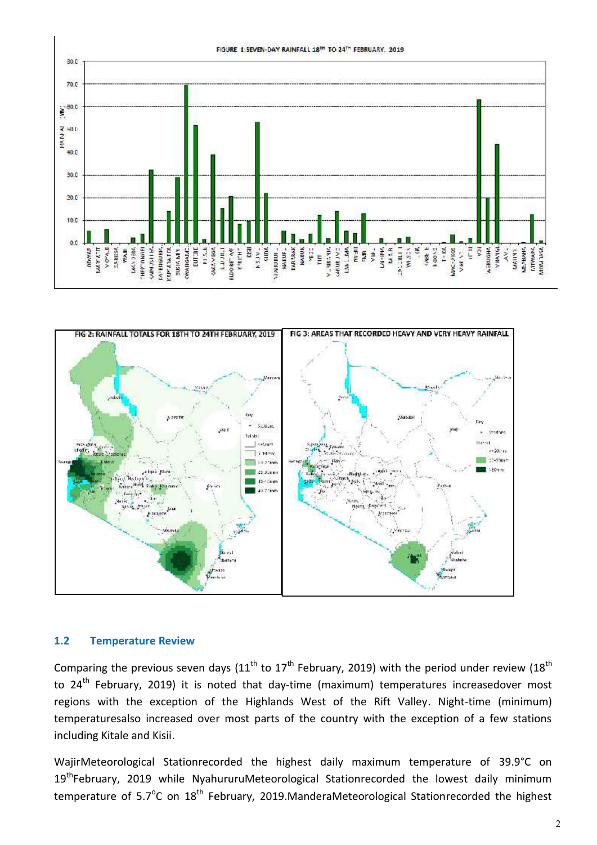



#### **1.2 Temperature Review 1.2Review**

Comparing the previous seven days (11<sup>th</sup> to 17<sup>th</sup> February, 2019) with the period under review (18<sup>th</sup>) to 24<sup>th</sup> February, 2019) it is noted that day-time (maximum) temperatures increasedover most regions with the exception of the Highlands West of the Rift Valley. Night-time (minimum) temperaturesalso increased over most parts of the country with the exception of a few stations including Kitale and Kisii. aring the previous seven days  $(11^{\text{th}}$  to  $17^{\text{th}}$  February, 2019) with the period under review<br><sup>th</sup> February, 2019) it is noted that day-time (maximum) temperatures increasedover<br>ns with the exception of the Highlan

WajirMeteorological Stationrecorded the highest daily maximum temperature of 39.9°C on WajirMeteorological Stationrecorded the highest daily maximum temperature of 39.9°C on<br>19<sup>th</sup>February, 2019 while NyahururuMeteorological Stationrecorded the lowest daily minimum temperature of 5.7<sup>o</sup>C on 18<sup>th</sup> February, 2019.ManderaMeteorological Stationrecorded the highest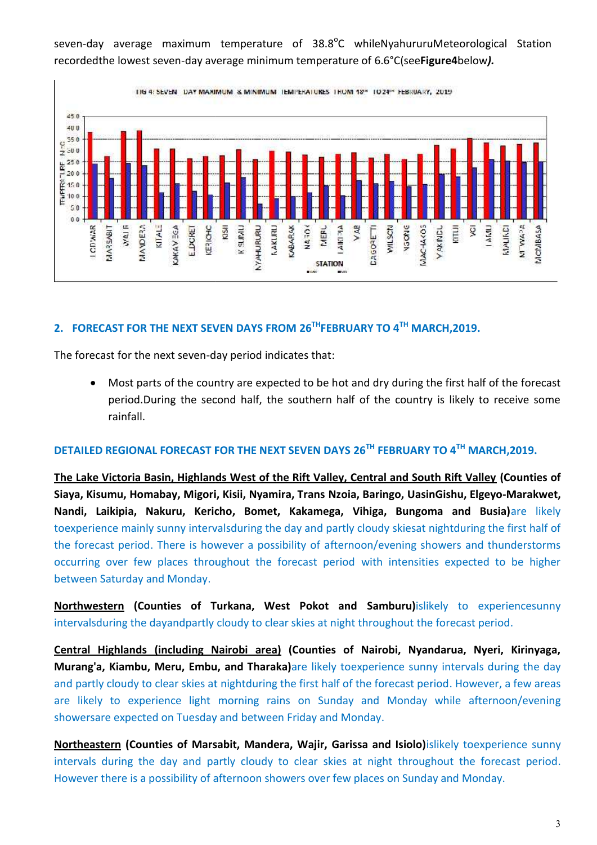TIG 4: SEVEN DAY MAXIMUM & MINIMUM TEMPERATURES TROM 18th TO 24th FEBRUARY, 2019  $450$ 400  $550$  $\frac{9}{2}$  350  $250$  $\frac{a}{b}$  250<br> $\frac{250}{c}$  $T = 150$  $50$  $0<sub>0</sub>$ Aral F KITALE V AB JAC-14<05 VAKINDU Vache kittil **LAMU ACAMA IN** CDWAR<sup></sup> TIBARSAN **MANDERA RSD ELIPJILI NYAHURURU CABARAK** MERL **ARCDIA CONLING MCMBASA CAKAVECA** EDORET **CERICHC NAKLIRU** NATOK MILSCN ğ **Lacosta STATION RIVAL** 

seven-day average maximum temperature of 38.8<sup>o</sup>C whileNyahururuMeteorological Station recordedthe lowest seven-day average minimum temperature of 6.6°C(see**Figure4**below).

## **2. FORECAST FOR THE NEXT SEVEN DAYS FROM 26<sup>TH</sup>FEBRUARY TO 4<sup>TH</sup> MARCH,2019.**

The forecast for the next seven-day period indicates that:

• Most parts of the country are expected to be hot and dry during the first half of the forecast period.During the second half, the southern half of the country is likely to receive some rainfall.

## **DETAILED REGIONAL FORECAST FOR THE NEXT SEVEN DAYS 26TH FEBRUARY TO 4TH MARCH,2019.**

**The Lake Victoria Basin, Highlands West of the Rift Valley, Central and South Rift Valley (Counties of Siaya, Kisumu, Homabay, Migori, Kisii, Nyamira, Trans Nzoia, Baringo, UasinGishu, Elgeyo-Marakwet, Nandi, Laikipia, Nakuru, Kericho, Bomet, Kakamega, Vihiga, Bungoma and Busia)**are likely toexperience mainly sunny intervalsduring the day and partly cloudy skiesat nightduring the first half of the forecast period. There is however a possibility of afternoon/evening showers and thunderstorms toexperience mainly sunny intervalsduring the day and partly cloudy skiesat nightduring the first half of<br>the forecast period. There is however a possibility of afternoon/evening showers and thunderstorms<br>occurring over fe between Saturday and Monday. est of the Rift Valley, Central and South Rift Valley (C<br>, Nyamira, Trans Nzoia, Baringo, UasinGishu, Elgeyo-l<br>Bomet, Kakamega, Vihiga, Bungoma and Busia)

**Northwestern (Counties of Turkana, West Pokot and Samburu)islikely to experiencesunny<br>intervalsduring the dayandpartly cloudy to clear skies at night throughout the forecast period.** intervalsduring the dayandpartly cloudy to clear skies at night throughout the forecast period.

**Central Highlands (including Nairobi area)** (Counties of Nairobi, Nyandarua, Nyeri, Kirinyaga, **Murang'a, Kiambu, Meru, Embu, and Tharaka)are likely toexperience sunny intervals during the day** and partly cloudy to clear skies at nightduring the first half of the forecast period. However, a few areas are likely to experience light morning rains on Sunday and Monday while afternoon/evening showersare expected on Tuesday and between Friday and Monday. and partly cloudy to clear skies at nightduring the first half of the forecast period. However, a few areas<br>are likely to experience light morning rains on Sunday and Monday while afternoon/evening<br>showersare expected on T

**Northeastern (Counties of Marsabit, Mandera, Wajir, Garissa and Isiolo)**islikely toexperience sunny intervals during the day and partly cloudy to clear skies at night throughout the forecast period.<br>However there is a possibility of afternoon showers over few places on Sunday and Monday. However there is a possibility of afternoon showers over few places on Sunday and Monday.